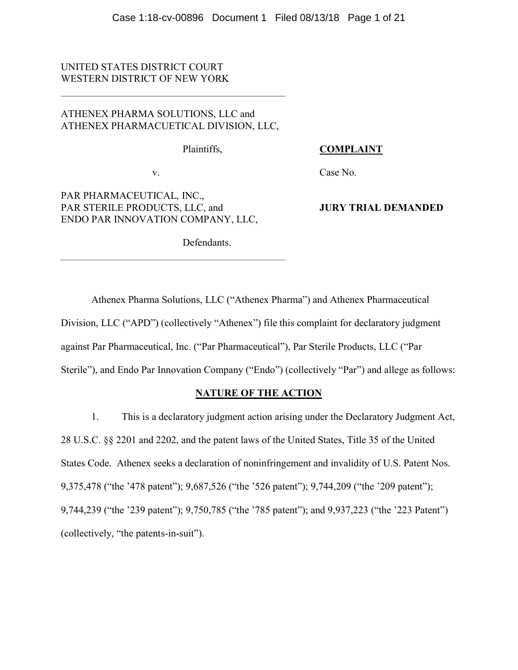# UNITED STATES DISTRICT COURT WESTERN DISTRICT OF NEW YORK

# ATHENEX PHARMA SOLUTIONS, LLC and ATHENEX PHARMACUETICAL DIVISION, LLC,

Plaintiffs,

## COMPLAINT

v.

# PAR PHARMACEUTICAL, INC., PAR STERILE PRODUCTS, LLC, and ENDO PAR INNOVATION COMPANY, LLC,

Case No.

# JURY TRIAL DEMANDED

Defendants.

Athenex Pharma Solutions, LLC ("Athenex Pharma") and Athenex Pharmaceutical Division, LLC ("APD") (collectively "Athenex") file this complaint for declaratory judgment against Par Pharmaceutical, Inc. ("Par Pharmaceutical"), Par Sterile Products, LLC ("Par Sterile"), and Endo Par Innovation Company ("Endo") (collectively "Par") and allege as follows:

# NATURE OF THE ACTION

1. This is a declaratory judgment action arising under the Declaratory Judgment Act, 28 U.S.C. §§ 2201 and 2202, and the patent laws of the United States, Title 35 of the United States Code. Athenex seeks a declaration of noninfringement and invalidity of U.S. Patent Nos. 9,375,478 ("the '478 patent"); 9,687,526 ("the '526 patent"); 9,744,209 ("the '209 patent"); 9,744,239 ("the '239 patent"); 9,750,785 ("the '785 patent"); and 9,937,223 ("the '223 Patent") (collectively, "the patents-in-suit").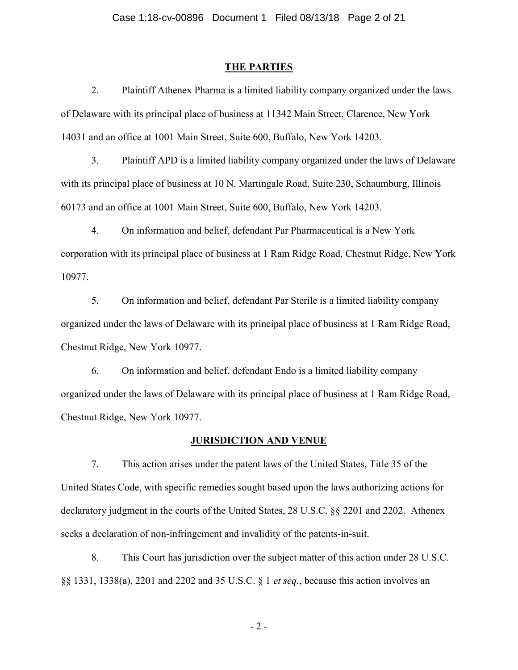#### THE PARTIES

2. Plaintiff Athenex Pharma is a limited liability company organized under the laws of Delaware with its principal place of business at 11342 Main Street, Clarence, New York 14031 and an office at 1001 Main Street, Suite 600, Buffalo, New York 14203.

3. Plaintiff APD is a limited liability company organized under the laws of Delaware with its principal place of business at 10 N. Martingale Road, Suite 230, Schaumburg, Illinois 60173 and an office at 1001 Main Street, Suite 600, Buffalo, New York 14203.

4. On information and belief, defendant Par Pharmaceutical is a New York corporation with its principal place of business at 1 Ram Ridge Road, Chestnut Ridge, New York 10977.

5. On information and belief, defendant Par Sterile is a limited liability company organized under the laws of Delaware with its principal place of business at 1 Ram Ridge Road, Chestnut Ridge, New York 10977.

6. On information and belief, defendant Endo is a limited liability company organized under the laws of Delaware with its principal place of business at 1 Ram Ridge Road, Chestnut Ridge, New York 10977.

### JURISDICTION AND VENUE

7. This action arises under the patent laws of the United States, Title 35 of the United States Code, with specific remedies sought based upon the laws authorizing actions for declaratory judgment in the courts of the United States, 28 U.S.C. §§ 2201 and 2202. Athenex seeks a declaration of non-infringement and invalidity of the patents-in-suit.

8. This Court has jurisdiction over the subject matter of this action under 28 U.S.C. §§ 1331, 1338(a), 2201 and 2202 and 35 U.S.C. § 1 et seq., because this action involves an

- 2 -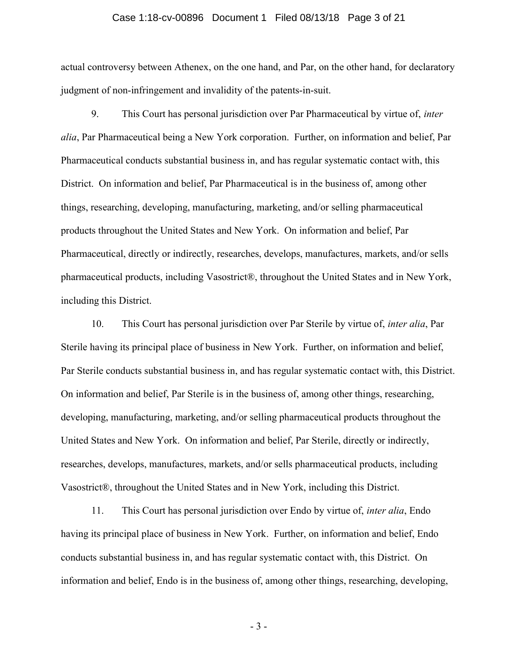### Case 1:18-cv-00896 Document 1 Filed 08/13/18 Page 3 of 21

actual controversy between Athenex, on the one hand, and Par, on the other hand, for declaratory judgment of non-infringement and invalidity of the patents-in-suit.

9. This Court has personal jurisdiction over Par Pharmaceutical by virtue of, inter alia, Par Pharmaceutical being a New York corporation. Further, on information and belief, Par Pharmaceutical conducts substantial business in, and has regular systematic contact with, this District. On information and belief, Par Pharmaceutical is in the business of, among other things, researching, developing, manufacturing, marketing, and/or selling pharmaceutical products throughout the United States and New York. On information and belief, Par Pharmaceutical, directly or indirectly, researches, develops, manufactures, markets, and/or sells pharmaceutical products, including Vasostrict®, throughout the United States and in New York, including this District.

10. This Court has personal jurisdiction over Par Sterile by virtue of, inter alia, Par Sterile having its principal place of business in New York. Further, on information and belief, Par Sterile conducts substantial business in, and has regular systematic contact with, this District. On information and belief, Par Sterile is in the business of, among other things, researching, developing, manufacturing, marketing, and/or selling pharmaceutical products throughout the United States and New York. On information and belief, Par Sterile, directly or indirectly, researches, develops, manufactures, markets, and/or sells pharmaceutical products, including Vasostrict®, throughout the United States and in New York, including this District.

11. This Court has personal jurisdiction over Endo by virtue of, *inter alia*, Endo having its principal place of business in New York. Further, on information and belief, Endo conducts substantial business in, and has regular systematic contact with, this District. On information and belief, Endo is in the business of, among other things, researching, developing,

- 3 -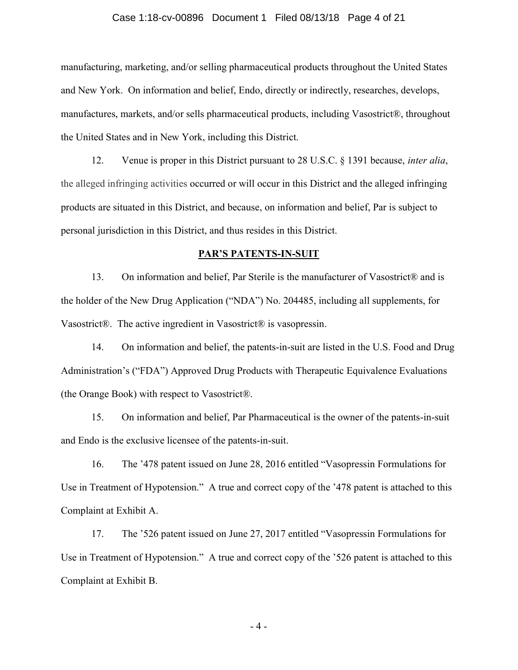### Case 1:18-cv-00896 Document 1 Filed 08/13/18 Page 4 of 21

manufacturing, marketing, and/or selling pharmaceutical products throughout the United States and New York. On information and belief, Endo, directly or indirectly, researches, develops, manufactures, markets, and/or sells pharmaceutical products, including Vasostrict®, throughout the United States and in New York, including this District.

12. Venue is proper in this District pursuant to 28 U.S.C. § 1391 because, inter alia, the alleged infringing activities occurred or will occur in this District and the alleged infringing products are situated in this District, and because, on information and belief, Par is subject to personal jurisdiction in this District, and thus resides in this District.

### PAR'S PATENTS-IN-SUIT

13. On information and belief, Par Sterile is the manufacturer of Vasostrict® and is the holder of the New Drug Application ("NDA") No. 204485, including all supplements, for Vasostrict®. The active ingredient in Vasostrict® is vasopressin.

14. On information and belief, the patents-in-suit are listed in the U.S. Food and Drug Administration's ("FDA") Approved Drug Products with Therapeutic Equivalence Evaluations (the Orange Book) with respect to Vasostrict®.

15. On information and belief, Par Pharmaceutical is the owner of the patents-in-suit and Endo is the exclusive licensee of the patents-in-suit.

16. The '478 patent issued on June 28, 2016 entitled "Vasopressin Formulations for Use in Treatment of Hypotension." A true and correct copy of the '478 patent is attached to this Complaint at Exhibit A.

17. The '526 patent issued on June 27, 2017 entitled "Vasopressin Formulations for Use in Treatment of Hypotension." A true and correct copy of the '526 patent is attached to this Complaint at Exhibit B.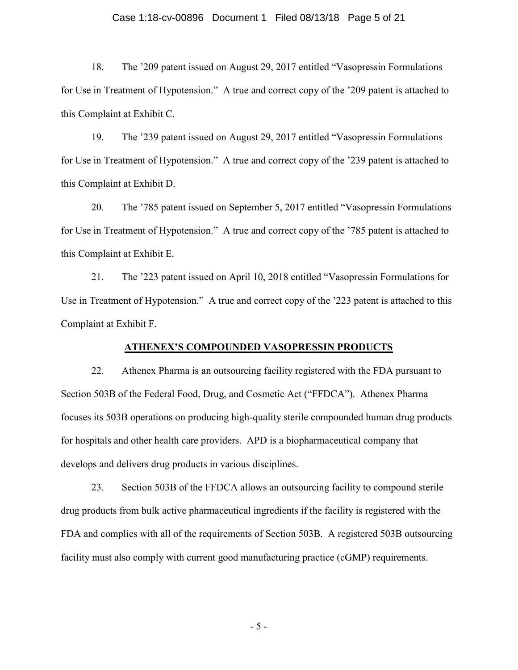### Case 1:18-cv-00896 Document 1 Filed 08/13/18 Page 5 of 21

18. The '209 patent issued on August 29, 2017 entitled "Vasopressin Formulations for Use in Treatment of Hypotension." A true and correct copy of the '209 patent is attached to this Complaint at Exhibit C.

19. The '239 patent issued on August 29, 2017 entitled "Vasopressin Formulations for Use in Treatment of Hypotension." A true and correct copy of the '239 patent is attached to this Complaint at Exhibit D.

20. The '785 patent issued on September 5, 2017 entitled "Vasopressin Formulations for Use in Treatment of Hypotension." A true and correct copy of the '785 patent is attached to this Complaint at Exhibit E.

21. The '223 patent issued on April 10, 2018 entitled "Vasopressin Formulations for Use in Treatment of Hypotension." A true and correct copy of the '223 patent is attached to this Complaint at Exhibit F.

### ATHENEX'S COMPOUNDED VASOPRESSIN PRODUCTS

22. Athenex Pharma is an outsourcing facility registered with the FDA pursuant to Section 503B of the Federal Food, Drug, and Cosmetic Act ("FFDCA"). Athenex Pharma focuses its 503B operations on producing high-quality sterile compounded human drug products for hospitals and other health care providers. APD is a biopharmaceutical company that develops and delivers drug products in various disciplines.

23. Section 503B of the FFDCA allows an outsourcing facility to compound sterile drug products from bulk active pharmaceutical ingredients if the facility is registered with the FDA and complies with all of the requirements of Section 503B. A registered 503B outsourcing facility must also comply with current good manufacturing practice (cGMP) requirements.

- 5 -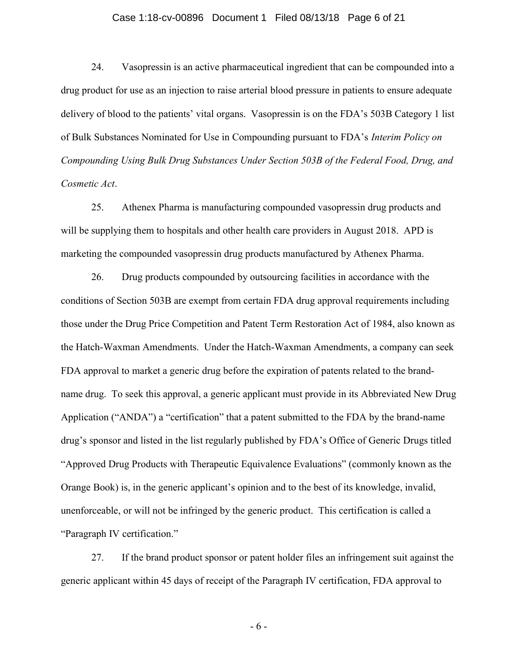### Case 1:18-cv-00896 Document 1 Filed 08/13/18 Page 6 of 21

24. Vasopressin is an active pharmaceutical ingredient that can be compounded into a drug product for use as an injection to raise arterial blood pressure in patients to ensure adequate delivery of blood to the patients' vital organs. Vasopressin is on the FDA's 503B Category 1 list of Bulk Substances Nominated for Use in Compounding pursuant to FDA's Interim Policy on Compounding Using Bulk Drug Substances Under Section 503B of the Federal Food, Drug, and Cosmetic Act.

25. Athenex Pharma is manufacturing compounded vasopressin drug products and will be supplying them to hospitals and other health care providers in August 2018. APD is marketing the compounded vasopressin drug products manufactured by Athenex Pharma.

26. Drug products compounded by outsourcing facilities in accordance with the conditions of Section 503B are exempt from certain FDA drug approval requirements including those under the Drug Price Competition and Patent Term Restoration Act of 1984, also known as the Hatch-Waxman Amendments. Under the Hatch-Waxman Amendments, a company can seek FDA approval to market a generic drug before the expiration of patents related to the brandname drug. To seek this approval, a generic applicant must provide in its Abbreviated New Drug Application ("ANDA") a "certification" that a patent submitted to the FDA by the brand-name drug's sponsor and listed in the list regularly published by FDA's Office of Generic Drugs titled "Approved Drug Products with Therapeutic Equivalence Evaluations" (commonly known as the Orange Book) is, in the generic applicant's opinion and to the best of its knowledge, invalid, unenforceable, or will not be infringed by the generic product. This certification is called a "Paragraph IV certification."

27. If the brand product sponsor or patent holder files an infringement suit against the generic applicant within 45 days of receipt of the Paragraph IV certification, FDA approval to

- 6 -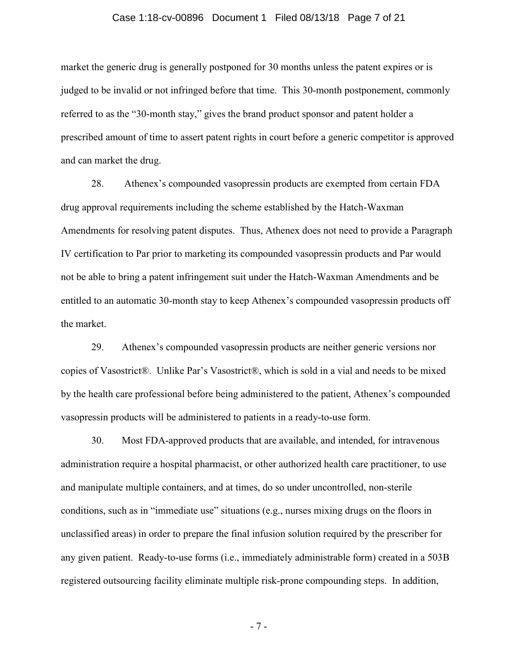#### Case 1:18-cv-00896 Document 1 Filed 08/13/18 Page 7 of 21

market the generic drug is generally postponed for 30 months unless the patent expires or is judged to be invalid or not infringed before that time. This 30-month postponement, commonly referred to as the "30-month stay," gives the brand product sponsor and patent holder a prescribed amount of time to assert patent rights in court before a generic competitor is approved and can market the drug.

28. Athenex's compounded vasopressin products are exempted from certain FDA drug approval requirements including the scheme established by the Hatch-Waxman Amendments for resolving patent disputes. Thus, Athenex does not need to provide a Paragraph IV certification to Par prior to marketing its compounded vasopressin products and Par would not be able to bring a patent infringement suit under the Hatch-Waxman Amendments and be entitled to an automatic 30-month stay to keep Athenex's compounded vasopressin products off the market.

29. Athenex's compounded vasopressin products are neither generic versions nor copies of Vasostrict®. Unlike Par's Vasostrict®, which is sold in a vial and needs to be mixed by the health care professional before being administered to the patient, Athenex's compounded vasopressin products will be administered to patients in a ready-to-use form.

30. Most FDA-approved products that are available, and intended, for intravenous administration require a hospital pharmacist, or other authorized health care practitioner, to use and manipulate multiple containers, and at times, do so under uncontrolled, non-sterile conditions, such as in "immediate use" situations (e.g., nurses mixing drugs on the floors in unclassified areas) in order to prepare the final infusion solution required by the prescriber for any given patient. Ready-to-use forms (i.e., immediately administrable form) created in a 503B registered outsourcing facility eliminate multiple risk-prone compounding steps. In addition,

- 7 -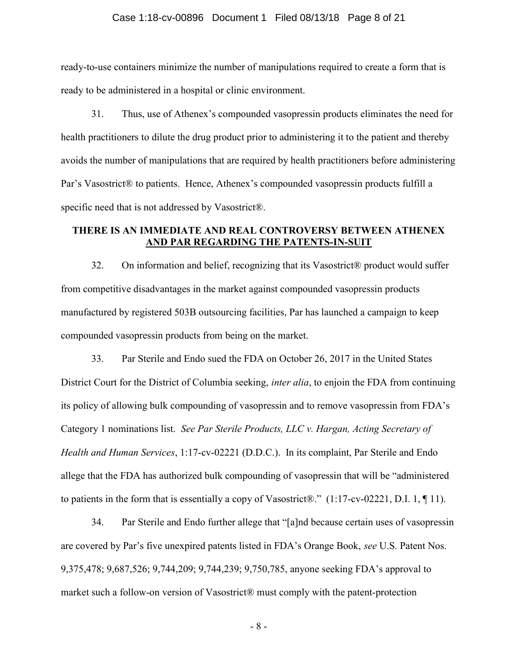### Case 1:18-cv-00896 Document 1 Filed 08/13/18 Page 8 of 21

ready-to-use containers minimize the number of manipulations required to create a form that is ready to be administered in a hospital or clinic environment.

31. Thus, use of Athenex's compounded vasopressin products eliminates the need for health practitioners to dilute the drug product prior to administering it to the patient and thereby avoids the number of manipulations that are required by health practitioners before administering Par's Vasostrict® to patients. Hence, Athenex's compounded vasopressin products fulfill a specific need that is not addressed by Vasostrict<sup>®</sup>.

# THERE IS AN IMMEDIATE AND REAL CONTROVERSY BETWEEN ATHENEX AND PAR REGARDING THE PATENTS-IN-SUIT

32. On information and belief, recognizing that its Vasostrict® product would suffer from competitive disadvantages in the market against compounded vasopressin products manufactured by registered 503B outsourcing facilities, Par has launched a campaign to keep compounded vasopressin products from being on the market.

33. Par Sterile and Endo sued the FDA on October 26, 2017 in the United States District Court for the District of Columbia seeking, *inter alia*, to enjoin the FDA from continuing its policy of allowing bulk compounding of vasopressin and to remove vasopressin from FDA's Category 1 nominations list. See Par Sterile Products, LLC v. Hargan, Acting Secretary of Health and Human Services, 1:17-cv-02221 (D.D.C.). In its complaint, Par Sterile and Endo allege that the FDA has authorized bulk compounding of vasopressin that will be "administered to patients in the form that is essentially a copy of Vasostrict®." (1:17-cv-02221, D.I. 1, ¶ 11).

34. Par Sterile and Endo further allege that "[a]nd because certain uses of vasopressin are covered by Par's five unexpired patents listed in FDA's Orange Book, see U.S. Patent Nos. 9,375,478; 9,687,526; 9,744,209; 9,744,239; 9,750,785, anyone seeking FDA's approval to market such a follow-on version of Vasostrict® must comply with the patent-protection

- 8 -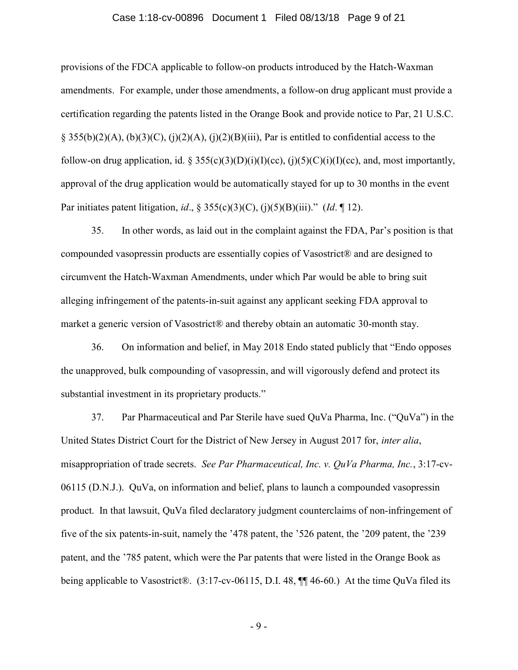#### Case 1:18-cv-00896 Document 1 Filed 08/13/18 Page 9 of 21

provisions of the FDCA applicable to follow-on products introduced by the Hatch-Waxman amendments. For example, under those amendments, a follow-on drug applicant must provide a certification regarding the patents listed in the Orange Book and provide notice to Par, 21 U.S.C.  $\S$  355(b)(2)(A), (b)(3)(C), (j)(2)(A), (j)(2)(B)(iii), Par is entitled to confidential access to the follow-on drug application, id. § 355(c)(3)(D)(i)(I)(cc), (j)(5)(C)(i)(I)(cc), and, most importantly, approval of the drug application would be automatically stayed for up to 30 months in the event Par initiates patent litigation, id., § 355(c)(3)(C), (j)(5)(B)(iii)." (Id. ¶ 12).

35. In other words, as laid out in the complaint against the FDA, Par's position is that compounded vasopressin products are essentially copies of Vasostrict® and are designed to circumvent the Hatch-Waxman Amendments, under which Par would be able to bring suit alleging infringement of the patents-in-suit against any applicant seeking FDA approval to market a generic version of Vasostrict® and thereby obtain an automatic 30-month stay.

36. On information and belief, in May 2018 Endo stated publicly that "Endo opposes the unapproved, bulk compounding of vasopressin, and will vigorously defend and protect its substantial investment in its proprietary products."

37. Par Pharmaceutical and Par Sterile have sued QuVa Pharma, Inc. ("QuVa") in the United States District Court for the District of New Jersey in August 2017 for, inter alia, misappropriation of trade secrets. See Par Pharmaceutical, Inc. v. QuVa Pharma, Inc., 3:17-cv-06115 (D.N.J.). QuVa, on information and belief, plans to launch a compounded vasopressin product. In that lawsuit, QuVa filed declaratory judgment counterclaims of non-infringement of five of the six patents-in-suit, namely the '478 patent, the '526 patent, the '209 patent, the '239 patent, and the '785 patent, which were the Par patents that were listed in the Orange Book as being applicable to Vasostrict®. (3:17-cv-06115, D.I. 48, ¶¶ 46-60.) At the time QuVa filed its

- 9 -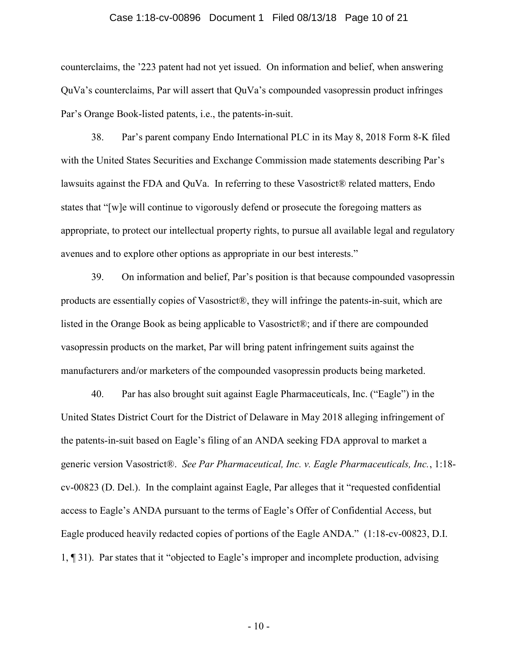#### Case 1:18-cv-00896 Document 1 Filed 08/13/18 Page 10 of 21

counterclaims, the '223 patent had not yet issued. On information and belief, when answering QuVa's counterclaims, Par will assert that QuVa's compounded vasopressin product infringes Par's Orange Book-listed patents, i.e., the patents-in-suit.

38. Par's parent company Endo International PLC in its May 8, 2018 Form 8-K filed with the United States Securities and Exchange Commission made statements describing Par's lawsuits against the FDA and QuVa. In referring to these Vasostrict® related matters, Endo states that "[w]e will continue to vigorously defend or prosecute the foregoing matters as appropriate, to protect our intellectual property rights, to pursue all available legal and regulatory avenues and to explore other options as appropriate in our best interests."

39. On information and belief, Par's position is that because compounded vasopressin products are essentially copies of Vasostrict®, they will infringe the patents-in-suit, which are listed in the Orange Book as being applicable to Vasostrict®; and if there are compounded vasopressin products on the market, Par will bring patent infringement suits against the manufacturers and/or marketers of the compounded vasopressin products being marketed.

40. Par has also brought suit against Eagle Pharmaceuticals, Inc. ("Eagle") in the United States District Court for the District of Delaware in May 2018 alleging infringement of the patents-in-suit based on Eagle's filing of an ANDA seeking FDA approval to market a generic version Vasostrict®. See Par Pharmaceutical, Inc. v. Eagle Pharmaceuticals, Inc., 1:18 cv-00823 (D. Del.). In the complaint against Eagle, Par alleges that it "requested confidential access to Eagle's ANDA pursuant to the terms of Eagle's Offer of Confidential Access, but Eagle produced heavily redacted copies of portions of the Eagle ANDA." (1:18-cv-00823, D.I. 1, ¶ 31). Par states that it "objected to Eagle's improper and incomplete production, advising

 $-10-$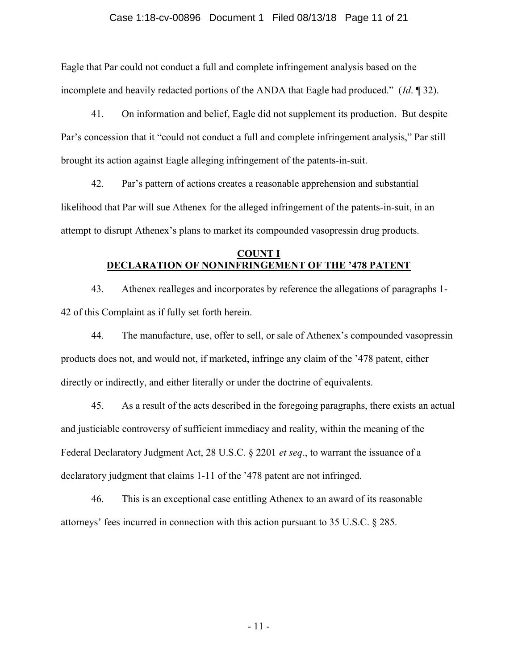### Case 1:18-cv-00896 Document 1 Filed 08/13/18 Page 11 of 21

Eagle that Par could not conduct a full and complete infringement analysis based on the incomplete and heavily redacted portions of the ANDA that Eagle had produced." (*Id.* 1932).

41. On information and belief, Eagle did not supplement its production. But despite Par's concession that it "could not conduct a full and complete infringement analysis," Par still brought its action against Eagle alleging infringement of the patents-in-suit.

42. Par's pattern of actions creates a reasonable apprehension and substantial likelihood that Par will sue Athenex for the alleged infringement of the patents-in-suit, in an attempt to disrupt Athenex's plans to market its compounded vasopressin drug products.

# COUNT I DECLARATION OF NONINFRINGEMENT OF THE '478 PATENT

43. Athenex realleges and incorporates by reference the allegations of paragraphs 1- 42 of this Complaint as if fully set forth herein.

44. The manufacture, use, offer to sell, or sale of Athenex's compounded vasopressin products does not, and would not, if marketed, infringe any claim of the '478 patent, either directly or indirectly, and either literally or under the doctrine of equivalents.

45. As a result of the acts described in the foregoing paragraphs, there exists an actual and justiciable controversy of sufficient immediacy and reality, within the meaning of the Federal Declaratory Judgment Act, 28 U.S.C. § 2201 *et seq.*, to warrant the issuance of a declaratory judgment that claims 1-11 of the '478 patent are not infringed.

46. This is an exceptional case entitling Athenex to an award of its reasonable attorneys' fees incurred in connection with this action pursuant to 35 U.S.C. § 285.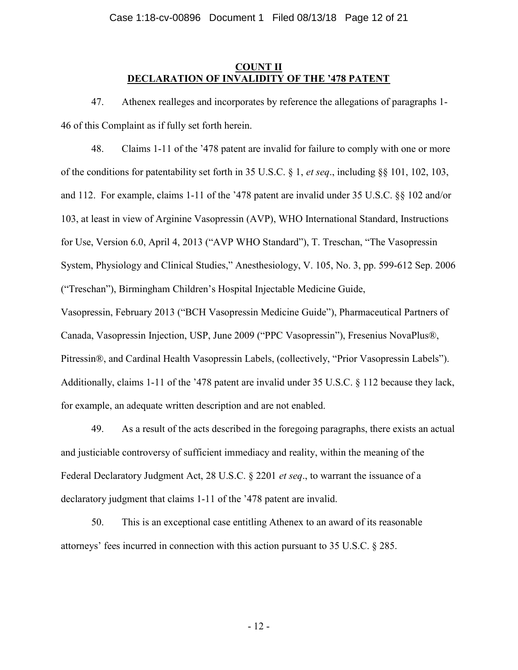# COUNT II DECLARATION OF INVALIDITY OF THE '478 PATENT

47. Athenex realleges and incorporates by reference the allegations of paragraphs 1- 46 of this Complaint as if fully set forth herein.

48. Claims 1-11 of the '478 patent are invalid for failure to comply with one or more of the conditions for patentability set forth in 35 U.S.C. § 1, et seq., including §§ 101, 102, 103, and 112. For example, claims 1-11 of the '478 patent are invalid under 35 U.S.C. §§ 102 and/or 103, at least in view of Arginine Vasopressin (AVP), WHO International Standard, Instructions for Use, Version 6.0, April 4, 2013 ("AVP WHO Standard"), T. Treschan, "The Vasopressin System, Physiology and Clinical Studies," Anesthesiology, V. 105, No. 3, pp. 599-612 Sep. 2006 ("Treschan"), Birmingham Children's Hospital Injectable Medicine Guide,

Vasopressin, February 2013 ("BCH Vasopressin Medicine Guide"), Pharmaceutical Partners of Canada, Vasopressin Injection, USP, June 2009 ("PPC Vasopressin"), Fresenius NovaPlus®, Pitressin®, and Cardinal Health Vasopressin Labels, (collectively, "Prior Vasopressin Labels"). Additionally, claims 1-11 of the '478 patent are invalid under 35 U.S.C. § 112 because they lack, for example, an adequate written description and are not enabled.

49. As a result of the acts described in the foregoing paragraphs, there exists an actual and justiciable controversy of sufficient immediacy and reality, within the meaning of the Federal Declaratory Judgment Act, 28 U.S.C. § 2201 *et seq.*, to warrant the issuance of a declaratory judgment that claims 1-11 of the '478 patent are invalid.

50. This is an exceptional case entitling Athenex to an award of its reasonable attorneys' fees incurred in connection with this action pursuant to 35 U.S.C. § 285.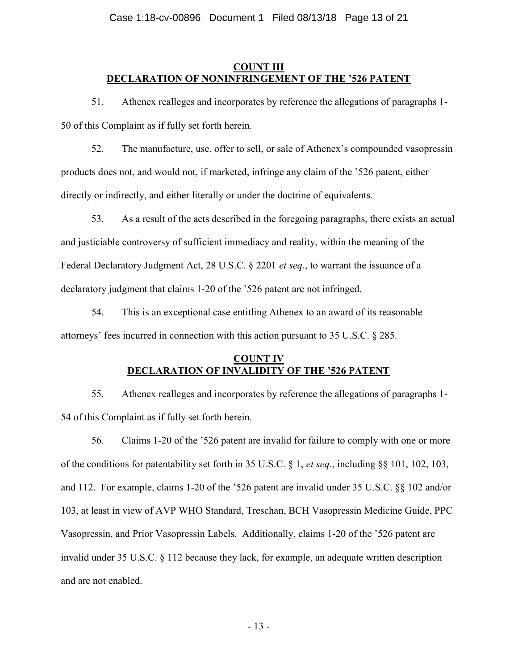# COUNT III DECLARATION OF NONINFRINGEMENT OF THE '526 PATENT

51. Athenex realleges and incorporates by reference the allegations of paragraphs 1- 50 of this Complaint as if fully set forth herein.

52. The manufacture, use, offer to sell, or sale of Athenex's compounded vasopressin products does not, and would not, if marketed, infringe any claim of the '526 patent, either directly or indirectly, and either literally or under the doctrine of equivalents.

53. As a result of the acts described in the foregoing paragraphs, there exists an actual and justiciable controversy of sufficient immediacy and reality, within the meaning of the Federal Declaratory Judgment Act, 28 U.S.C. § 2201 *et seq.*, to warrant the issuance of a declaratory judgment that claims 1-20 of the '526 patent are not infringed.

54. This is an exceptional case entitling Athenex to an award of its reasonable attorneys' fees incurred in connection with this action pursuant to 35 U.S.C. § 285.

# COUNT IV DECLARATION OF INVALIDITY OF THE '526 PATENT

55. Athenex realleges and incorporates by reference the allegations of paragraphs 1- 54 of this Complaint as if fully set forth herein.

56. Claims 1-20 of the '526 patent are invalid for failure to comply with one or more of the conditions for patentability set forth in 35 U.S.C. § 1, et seq., including §§ 101, 102, 103, and 112. For example, claims 1-20 of the '526 patent are invalid under 35 U.S.C. §§ 102 and/or 103, at least in view of AVP WHO Standard, Treschan, BCH Vasopressin Medicine Guide, PPC Vasopressin, and Prior Vasopressin Labels. Additionally, claims 1-20 of the '526 patent are invalid under 35 U.S.C. § 112 because they lack, for example, an adequate written description and are not enabled.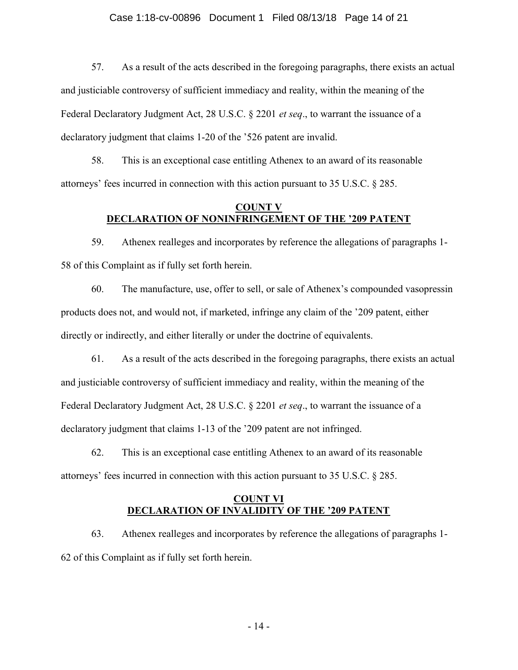57. As a result of the acts described in the foregoing paragraphs, there exists an actual and justiciable controversy of sufficient immediacy and reality, within the meaning of the Federal Declaratory Judgment Act, 28 U.S.C. § 2201 *et seq.*, to warrant the issuance of a declaratory judgment that claims 1-20 of the '526 patent are invalid.

58. This is an exceptional case entitling Athenex to an award of its reasonable attorneys' fees incurred in connection with this action pursuant to 35 U.S.C. § 285.

## COUNT V DECLARATION OF NONINFRINGEMENT OF THE '209 PATENT

59. Athenex realleges and incorporates by reference the allegations of paragraphs 1- 58 of this Complaint as if fully set forth herein.

60. The manufacture, use, offer to sell, or sale of Athenex's compounded vasopressin products does not, and would not, if marketed, infringe any claim of the '209 patent, either directly or indirectly, and either literally or under the doctrine of equivalents.

61. As a result of the acts described in the foregoing paragraphs, there exists an actual and justiciable controversy of sufficient immediacy and reality, within the meaning of the Federal Declaratory Judgment Act, 28 U.S.C. § 2201 *et seq.*, to warrant the issuance of a declaratory judgment that claims 1-13 of the '209 patent are not infringed.

62. This is an exceptional case entitling Athenex to an award of its reasonable attorneys' fees incurred in connection with this action pursuant to 35 U.S.C. § 285.

# COUNT VI DECLARATION OF INVALIDITY OF THE '209 PATENT

63. Athenex realleges and incorporates by reference the allegations of paragraphs 1- 62 of this Complaint as if fully set forth herein.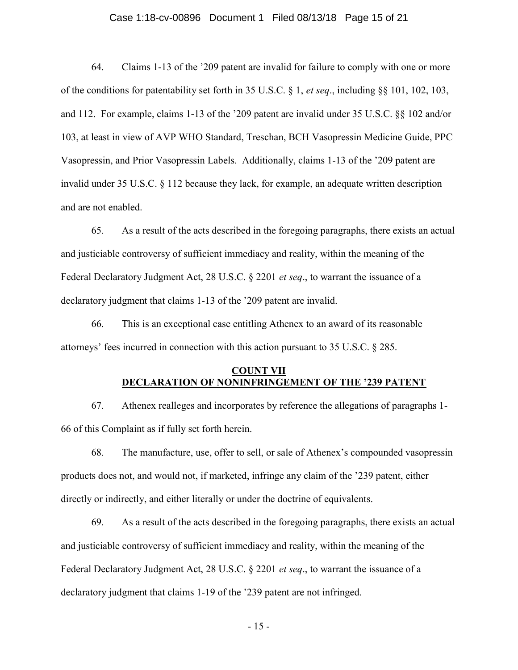### Case 1:18-cv-00896 Document 1 Filed 08/13/18 Page 15 of 21

64. Claims 1-13 of the '209 patent are invalid for failure to comply with one or more of the conditions for patentability set forth in 35 U.S.C. § 1, et seq., including §§ 101, 102, 103, and 112. For example, claims 1-13 of the '209 patent are invalid under 35 U.S.C. §§ 102 and/or 103, at least in view of AVP WHO Standard, Treschan, BCH Vasopressin Medicine Guide, PPC Vasopressin, and Prior Vasopressin Labels. Additionally, claims 1-13 of the '209 patent are invalid under 35 U.S.C. § 112 because they lack, for example, an adequate written description and are not enabled.

65. As a result of the acts described in the foregoing paragraphs, there exists an actual and justiciable controversy of sufficient immediacy and reality, within the meaning of the Federal Declaratory Judgment Act, 28 U.S.C. § 2201 et seq., to warrant the issuance of a declaratory judgment that claims 1-13 of the '209 patent are invalid.

66. This is an exceptional case entitling Athenex to an award of its reasonable attorneys' fees incurred in connection with this action pursuant to 35 U.S.C. § 285.

# COUNT VII DECLARATION OF NONINFRINGEMENT OF THE '239 PATENT

67. Athenex realleges and incorporates by reference the allegations of paragraphs 1- 66 of this Complaint as if fully set forth herein.

68. The manufacture, use, offer to sell, or sale of Athenex's compounded vasopressin products does not, and would not, if marketed, infringe any claim of the '239 patent, either directly or indirectly, and either literally or under the doctrine of equivalents.

69. As a result of the acts described in the foregoing paragraphs, there exists an actual and justiciable controversy of sufficient immediacy and reality, within the meaning of the Federal Declaratory Judgment Act, 28 U.S.C. § 2201 *et seq.*, to warrant the issuance of a declaratory judgment that claims 1-19 of the '239 patent are not infringed.

- 15 -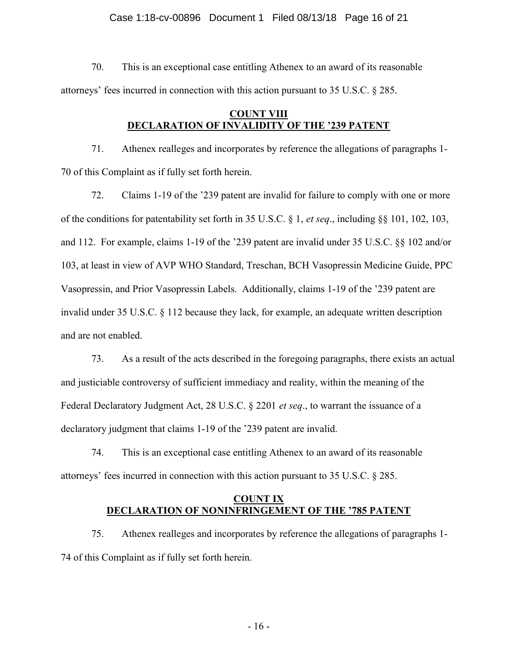### Case 1:18-cv-00896 Document 1 Filed 08/13/18 Page 16 of 21

70. This is an exceptional case entitling Athenex to an award of its reasonable attorneys' fees incurred in connection with this action pursuant to 35 U.S.C. § 285.

# COUNT VIII DECLARATION OF INVALIDITY OF THE '239 PATENT

71. Athenex realleges and incorporates by reference the allegations of paragraphs 1- 70 of this Complaint as if fully set forth herein.

72. Claims 1-19 of the '239 patent are invalid for failure to comply with one or more of the conditions for patentability set forth in 35 U.S.C. § 1, et seq., including §§ 101, 102, 103, and 112. For example, claims 1-19 of the '239 patent are invalid under 35 U.S.C. §§ 102 and/or 103, at least in view of AVP WHO Standard, Treschan, BCH Vasopressin Medicine Guide, PPC Vasopressin, and Prior Vasopressin Labels. Additionally, claims 1-19 of the '239 patent are invalid under 35 U.S.C. § 112 because they lack, for example, an adequate written description and are not enabled.

73. As a result of the acts described in the foregoing paragraphs, there exists an actual and justiciable controversy of sufficient immediacy and reality, within the meaning of the Federal Declaratory Judgment Act, 28 U.S.C. § 2201 *et seq.*, to warrant the issuance of a declaratory judgment that claims 1-19 of the '239 patent are invalid.

74. This is an exceptional case entitling Athenex to an award of its reasonable attorneys' fees incurred in connection with this action pursuant to 35 U.S.C. § 285.

# COUNT IX DECLARATION OF NONINFRINGEMENT OF THE '785 PATENT

75. Athenex realleges and incorporates by reference the allegations of paragraphs 1- 74 of this Complaint as if fully set forth herein.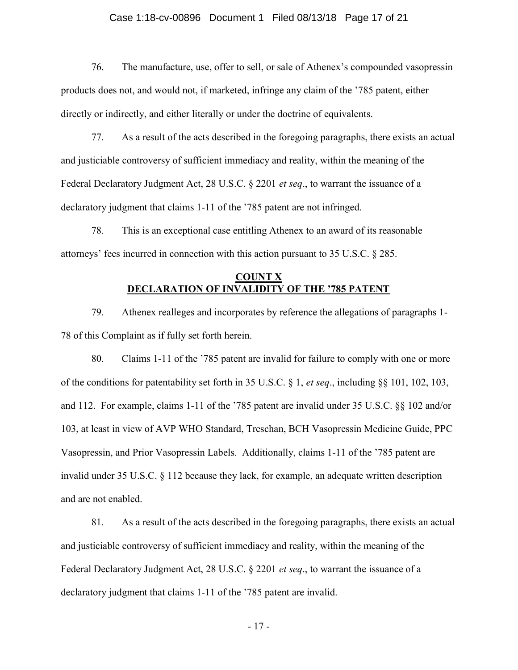### Case 1:18-cv-00896 Document 1 Filed 08/13/18 Page 17 of 21

76. The manufacture, use, offer to sell, or sale of Athenex's compounded vasopressin products does not, and would not, if marketed, infringe any claim of the '785 patent, either directly or indirectly, and either literally or under the doctrine of equivalents.

77. As a result of the acts described in the foregoing paragraphs, there exists an actual and justiciable controversy of sufficient immediacy and reality, within the meaning of the Federal Declaratory Judgment Act, 28 U.S.C. § 2201 *et seq.*, to warrant the issuance of a declaratory judgment that claims 1-11 of the '785 patent are not infringed.

78. This is an exceptional case entitling Athenex to an award of its reasonable attorneys' fees incurred in connection with this action pursuant to 35 U.S.C. § 285.

## COUNT X DECLARATION OF INVALIDITY OF THE '785 PATENT

79. Athenex realleges and incorporates by reference the allegations of paragraphs 1- 78 of this Complaint as if fully set forth herein.

80. Claims 1-11 of the '785 patent are invalid for failure to comply with one or more of the conditions for patentability set forth in 35 U.S.C. § 1, et seq., including §§ 101, 102, 103, and 112. For example, claims 1-11 of the '785 patent are invalid under 35 U.S.C. §§ 102 and/or 103, at least in view of AVP WHO Standard, Treschan, BCH Vasopressin Medicine Guide, PPC Vasopressin, and Prior Vasopressin Labels. Additionally, claims 1-11 of the '785 patent are invalid under 35 U.S.C. § 112 because they lack, for example, an adequate written description and are not enabled.

81. As a result of the acts described in the foregoing paragraphs, there exists an actual and justiciable controversy of sufficient immediacy and reality, within the meaning of the Federal Declaratory Judgment Act, 28 U.S.C. § 2201 *et seq.*, to warrant the issuance of a declaratory judgment that claims 1-11 of the '785 patent are invalid.

- 17 -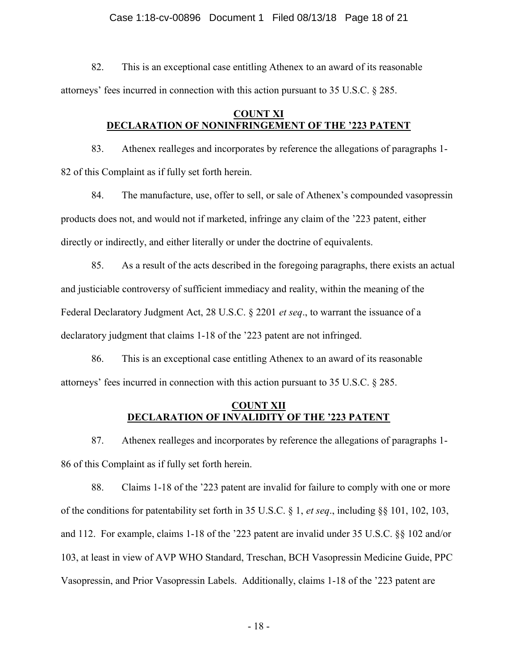### Case 1:18-cv-00896 Document 1 Filed 08/13/18 Page 18 of 21

82. This is an exceptional case entitling Athenex to an award of its reasonable attorneys' fees incurred in connection with this action pursuant to 35 U.S.C. § 285.

## COUNT XI DECLARATION OF NONINFRINGEMENT OF THE '223 PATENT

83. Athenex realleges and incorporates by reference the allegations of paragraphs 1- 82 of this Complaint as if fully set forth herein.

84. The manufacture, use, offer to sell, or sale of Athenex's compounded vasopressin products does not, and would not if marketed, infringe any claim of the '223 patent, either directly or indirectly, and either literally or under the doctrine of equivalents.

85. As a result of the acts described in the foregoing paragraphs, there exists an actual and justiciable controversy of sufficient immediacy and reality, within the meaning of the Federal Declaratory Judgment Act, 28 U.S.C. § 2201 *et seq.*, to warrant the issuance of a declaratory judgment that claims 1-18 of the '223 patent are not infringed.

86. This is an exceptional case entitling Athenex to an award of its reasonable attorneys' fees incurred in connection with this action pursuant to 35 U.S.C. § 285.

# COUNT XII DECLARATION OF INVALIDITY OF THE '223 PATENT

87. Athenex realleges and incorporates by reference the allegations of paragraphs 1- 86 of this Complaint as if fully set forth herein.

88. Claims 1-18 of the '223 patent are invalid for failure to comply with one or more of the conditions for patentability set forth in 35 U.S.C. § 1, et seq., including §§ 101, 102, 103, and 112. For example, claims 1-18 of the '223 patent are invalid under 35 U.S.C. §§ 102 and/or 103, at least in view of AVP WHO Standard, Treschan, BCH Vasopressin Medicine Guide, PPC Vasopressin, and Prior Vasopressin Labels. Additionally, claims 1-18 of the '223 patent are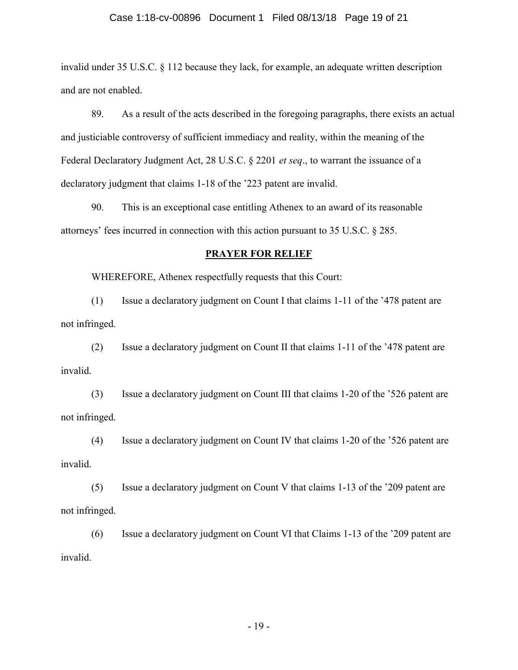### Case 1:18-cv-00896 Document 1 Filed 08/13/18 Page 19 of 21

invalid under 35 U.S.C. § 112 because they lack, for example, an adequate written description and are not enabled.

89. As a result of the acts described in the foregoing paragraphs, there exists an actual and justiciable controversy of sufficient immediacy and reality, within the meaning of the Federal Declaratory Judgment Act, 28 U.S.C. § 2201 et seq., to warrant the issuance of a declaratory judgment that claims 1-18 of the '223 patent are invalid.

90. This is an exceptional case entitling Athenex to an award of its reasonable attorneys' fees incurred in connection with this action pursuant to 35 U.S.C. § 285.

### PRAYER FOR RELIEF

WHEREFORE, Athenex respectfully requests that this Court:

 (1) Issue a declaratory judgment on Count I that claims 1-11 of the '478 patent are not infringed.

 (2) Issue a declaratory judgment on Count II that claims 1-11 of the '478 patent are invalid.

 (3) Issue a declaratory judgment on Count III that claims 1-20 of the '526 patent are not infringed.

 (4) Issue a declaratory judgment on Count IV that claims 1-20 of the '526 patent are invalid.

 (5) Issue a declaratory judgment on Count V that claims 1-13 of the '209 patent are not infringed.

 (6) Issue a declaratory judgment on Count VI that Claims 1-13 of the '209 patent are invalid.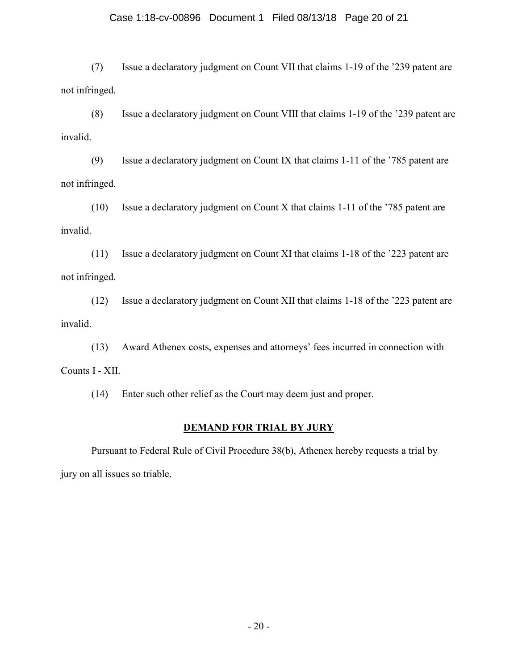## Case 1:18-cv-00896 Document 1 Filed 08/13/18 Page 20 of 21

 (7) Issue a declaratory judgment on Count VII that claims 1-19 of the '239 patent are not infringed.

 (8) Issue a declaratory judgment on Count VIII that claims 1-19 of the '239 patent are invalid.

 (9) Issue a declaratory judgment on Count IX that claims 1-11 of the '785 patent are not infringed.

 (10) Issue a declaratory judgment on Count X that claims 1-11 of the '785 patent are invalid.

 (11) Issue a declaratory judgment on Count XI that claims 1-18 of the '223 patent are not infringed.

 (12) Issue a declaratory judgment on Count XII that claims 1-18 of the '223 patent are invalid.

 (13) Award Athenex costs, expenses and attorneys' fees incurred in connection with Counts I - XII.

(14) Enter such other relief as the Court may deem just and proper.

# DEMAND FOR TRIAL BY JURY

Pursuant to Federal Rule of Civil Procedure 38(b), Athenex hereby requests a trial by jury on all issues so triable.